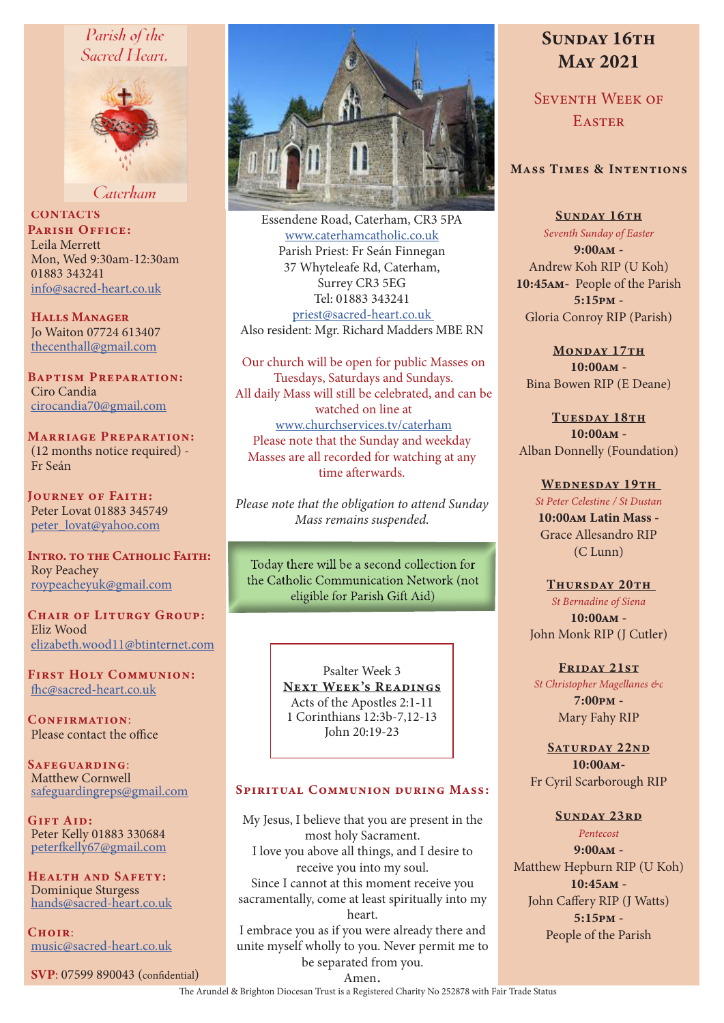# Parish of the Sacred Heart,



Caterham

**CONTACTS** PARISH OFFICE: Leila Merrett Mon, Wed 9:30am-12:30am 01883 343241 info@sacred-heart.co.uk

Halls Manager Jo Waiton 07724 613407 thecenthall@gmail.com

Baptism Preparation: Ciro Candia cirocandia70@gmail.com

Marriage Preparation: (12 months notice required) - Fr Seán

Journey of Faith: Peter Lovat 01883 345749 peter\_lovat@yahoo.com

INTRO. TO THE CATHOLIC FAITH: Roy Peachey roypeacheyuk@gmail.com

CHAIR OF LITURGY GROUP: Eliz Wood elizabeth.wood11@btinternet.com

First Holy Communion: fhc@sacred-heart.co.uk

CONFIRMATION: Please contact the office

SAFEGUARDING: Matthew Cornwell safeguardingreps@gmail.com

Gift Aid: Peter Kelly 01883 330684 peterfkelly67@gmail.com

Health and Safety: Dominique Sturgess hands@sacred-heart.co.uk

 $C$ HOIR $\cdot$ music@sacred-heart.co.uk

SVP: 07599 890043 (confidential)



Essendene Road, Caterham, CR3 5PA www.caterhamcatholic.co.uk Parish Priest: Fr Seán Finnegan 37 Whyteleafe Rd, Caterham, Surrey CR3 5EG Tel: 01883 343241 priest@sacred-heart.co.uk Also resident: Mgr. Richard Madders MBE RN

Our church will be open for public Masses on Tuesdays, Saturdays and Sundays. All daily Mass will still be celebrated, and can be watched on line at www.churchservices.tv/caterham Please note that the Sunday and weekday Masses are all recorded for watching at any time afterwards.

*Please note that the obligation to attend Sunday Mass remains suspended.*

Today there will be a second collection for the Catholic Communication Network (not eligible for Parish Gift Aid)

> Psalter Week 3 NEXT WEEK'S READINGS Acts of the Apostles 2:1-11 1 Corinthians 12:3b-7,12-13 John 20:19-23

#### SPIRITUAL COMMUNION DURING MASS:

My Jesus, I believe that you are present in the most holy Sacrament. I love you above all things, and I desire to receive you into my soul. Since I cannot at this moment receive you sacramentally, come at least spiritually into my heart. I embrace you as if you were already there and

unite myself wholly to you. Never permit me to be separated from you.

# SUNDAY 16TH May 2021

SEVENTH WEEK OF **EASTER** 

# Mass Times & Intentions

SUNDAY 16TH *Seventh Sunday of Easter* 9:00am - Andrew Koh RIP (U Koh) 10:45am- People of the Parish 5:15pm - Gloria Conroy RIP (Parish)

MONDAY 17TH 10:00am - Bina Bowen RIP (E Deane)

TUESDAY 18TH 10:00am - Alban Donnelly (Foundation)

> WEDNESDAY 19TH *St Peter Celestine / St Dustan* 10:00am Latin Mass - Grace Allesandro RIP (C Lunn)

THURSDAY 20TH *St Bernadine of Siena* 10:00am - John Monk RIP (J Cutler)

FRIDAY 21ST *St Christopher Magellanes &c* 7:00pm - Mary Fahy RIP

SATURDAY 22ND 10:00am-Fr Cyril Scarborough RIP

#### SUNDAY 23RD

*Pentecost* 9:00am - Matthew Hepburn RIP (U Koh) 10:45am - John Caffery RIP (J Watts) 5:15pm -

People of the Parish

Amen.

The Arundel & Brighton Diocesan Trust is a Registered Charity No 252878 with Fair Trade Status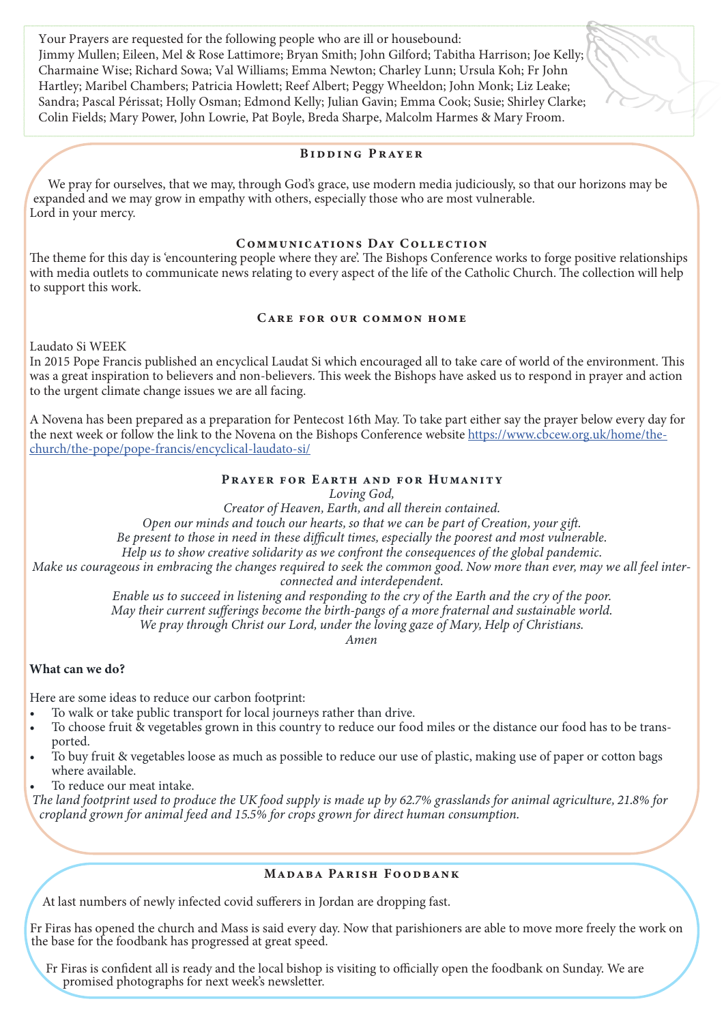Your Prayers are requested for the following people who are ill or housebound: Jimmy Mullen; Eileen, Mel & Rose Lattimore; Bryan Smith; John Gilford; Tabitha Harrison; Joe Kelly; Charmaine Wise; Richard Sowa; Val Williams; Emma Newton; Charley Lunn; Ursula Koh; Fr John Hartley; Maribel Chambers; Patricia Howlett; Reef Albert; Peggy Wheeldon; John Monk; Liz Leake; Sandra; Pascal Périssat; Holly Osman; Edmond Kelly; Julian Gavin; Emma Cook; Susie; Shirley Clarke; Colin Fields; Mary Power, John Lowrie, Pat Boyle, Breda Sharpe, Malcolm Harmes & Mary Froom.

#### Bidding Prayer

 We pray for ourselves, that we may, through God's grace, use modern media judiciously, so that our horizons may be expanded and we may grow in empathy with others, especially those who are most vulnerable. Lord in your mercy.

## Communications Day Collection

The theme for this day is 'encountering people where they are'. The Bishops Conference works to forge positive relationships with media outlets to communicate news relating to every aspect of the life of the Catholic Church. The collection will help to support this work.

## Care for our common home

Laudato Si WEEK

In 2015 Pope Francis published an encyclical Laudat Si which encouraged all to take care of world of the environment. This was a great inspiration to believers and non-believers. This week the Bishops have asked us to respond in prayer and action to the urgent climate change issues we are all facing.

A Novena has been prepared as a preparation for Pentecost 16th May. To take part either say the prayer below every day for the next week or follow the link to the Novena on the Bishops Conference website https://www.cbcew.org.uk/home/thechurch/the-pope/pope-francis/encyclical-laudato-si/

#### PRAYER FOR EARTH AND FOR HUMANITY

*Loving God,* 

*Creator of Heaven, Earth, and all therein contained.* 

*Open our minds and touch our hearts, so that we can be part of Creation, your gift.* 

*Be present to those in need in these difficult times, especially the poorest and most vulnerable.* 

*Help us to show creative solidarity as we confront the consequences of the global pandemic.* 

*Make us courageous in embracing the changes required to seek the common good. Now more than ever, may we all feel interconnected and interdependent.* 

*Enable us to succeed in listening and responding to the cry of the Earth and the cry of the poor. May their current sufferings become the birth-pangs of a more fraternal and sustainable world.* 

*We pray through Christ our Lord, under the loving gaze of Mary, Help of Christians.* 

*Amen*

## What can we do?

Here are some ideas to reduce our carbon footprint:

- To walk or take public transport for local journeys rather than drive.
- To choose fruit & vegetables grown in this country to reduce our food miles or the distance our food has to be transported.
- To buy fruit & vegetables loose as much as possible to reduce our use of plastic, making use of paper or cotton bags where available.

To reduce our meat intake.

*The land footprint used to produce the UK food supply is made up by 62.7% grasslands for animal agriculture, 21.8% for cropland grown for animal feed and 15.5% for crops grown for direct human consumption.*

#### MADABA PARISH FOODBANK

At last numbers of newly infected covid sufferers in Jordan are dropping fast.

Fr Firas has opened the church and Mass is said every day. Now that parishioners are able to move more freely the work on the base for the foodbank has progressed at great speed.

Fr Firas is confident all is ready and the local bishop is visiting to officially open the foodbank on Sunday. We are promised photographs for next week's newsletter.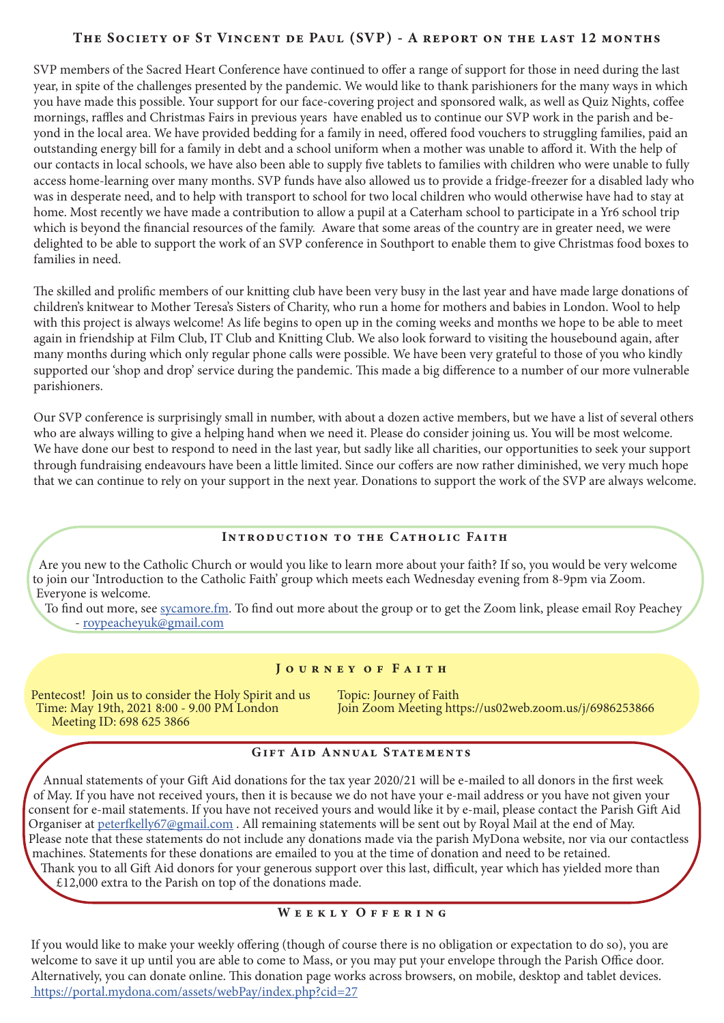# THE SOCIETY OF ST VINCENT DE PAUL (SVP) - A REPORT ON THE LAST 12 MONTHS

SVP members of the Sacred Heart Conference have continued to offer a range of support for those in need during the last year, in spite of the challenges presented by the pandemic. We would like to thank parishioners for the many ways in which you have made this possible. Your support for our face-covering project and sponsored walk, as well as Quiz Nights, coffee mornings, raffles and Christmas Fairs in previous years have enabled us to continue our SVP work in the parish and beyond in the local area. We have provided bedding for a family in need, offered food vouchers to struggling families, paid an outstanding energy bill for a family in debt and a school uniform when a mother was unable to afford it. With the help of our contacts in local schools, we have also been able to supply five tablets to families with children who were unable to fully access home-learning over many months. SVP funds have also allowed us to provide a fridge-freezer for a disabled lady who was in desperate need, and to help with transport to school for two local children who would otherwise have had to stay at home. Most recently we have made a contribution to allow a pupil at a Caterham school to participate in a Yr6 school trip which is beyond the financial resources of the family. Aware that some areas of the country are in greater need, we were delighted to be able to support the work of an SVP conference in Southport to enable them to give Christmas food boxes to families in need.

The skilled and prolific members of our knitting club have been very busy in the last year and have made large donations of children's knitwear to Mother Teresa's Sisters of Charity, who run a home for mothers and babies in London. Wool to help with this project is always welcome! As life begins to open up in the coming weeks and months we hope to be able to meet again in friendship at Film Club, IT Club and Knitting Club. We also look forward to visiting the housebound again, after many months during which only regular phone calls were possible. We have been very grateful to those of you who kindly supported our 'shop and drop' service during the pandemic. This made a big difference to a number of our more vulnerable parishioners.

Our SVP conference is surprisingly small in number, with about a dozen active members, but we have a list of several others who are always willing to give a helping hand when we need it. Please do consider joining us. You will be most welcome. We have done our best to respond to need in the last year, but sadly like all charities, our opportunities to seek your support through fundraising endeavours have been a little limited. Since our coffers are now rather diminished, we very much hope that we can continue to rely on your support in the next year. Donations to support the work of the SVP are always welcome.

# Introduction to the Catholic Faith

Are you new to the Catholic Church or would you like to learn more about your faith? If so, you would be very welcome to join our 'Introduction to the Catholic Faith' group which meets each Wednesday evening from 8-9pm via Zoom. Everyone is welcome.

To find out more, see sycamore.fm. To find out more about the group or to get the Zoom link, please email Roy Peachey - roypeacheyuk@gmail.com

#### JOURNEY OF FAITH

Pentecost! Join us to consider the Holy Spirit and us Topic: Journey of Faith<br>Time: May 19th, 2021 8:00 - 9.00 PM London Join Zoom Meeting http:// Meeting ID: 698 625 3866

Join Zoom Meeting https://us02web.zoom.us/j/6986253866

## GIFT AID ANNUAL STATEMENTS

Annual statements of your Gift Aid donations for the tax year 2020/21 will be e-mailed to all donors in the first week of May. If you have not received yours, then it is because we do not have your e-mail address or you have not given your consent for e-mail statements. If you have not received yours and would like it by e-mail, please contact the Parish Gift Aid Organiser at peterfkelly67@gmail.com . All remaining statements will be sent out by Royal Mail at the end of May. Please note that these statements do not include any donations made via the parish MyDona website, nor via our contactless machines. Statements for these donations are emailed to you at the time of donation and need to be retained. Thank you to all Gift Aid donors for your generous support over this last, difficult, year which has yielded more than

£12,000 extra to the Parish on top of the donations made.

# WEEKLY OFFERING

If you would like to make your weekly offering (though of course there is no obligation or expectation to do so), you are welcome to save it up until you are able to come to Mass, or you may put your envelope through the Parish Office door. Alternatively, you can donate online. This donation page works across browsers, on mobile, desktop and tablet devices. https://portal.mydona.com/assets/webPay/index.php?cid=27